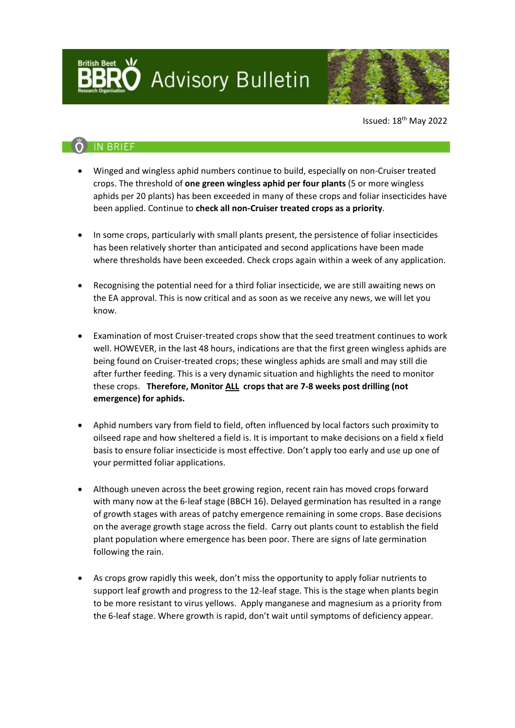**Advisory Bulletin** 



Issued: 18th May 2022

## **IN BRIEF**

- Winged and wingless aphid numbers continue to build, especially on non-Cruiser treated crops. The threshold of **one green wingless aphid per four plants** (5 or more wingless aphids per 20 plants) has been exceeded in many of these crops and foliar insecticides have been applied. Continue to **check all non-Cruiser treated crops as a priority**.
- In some crops, particularly with small plants present, the persistence of foliar insecticides has been relatively shorter than anticipated and second applications have been made where thresholds have been exceeded. Check crops again within a week of any application.
- Recognising the potential need for a third foliar insecticide, we are still awaiting news on the EA approval. This is now critical and as soon as we receive any news, we will let you know.
- Examination of most Cruiser-treated crops show that the seed treatment continues to work well. HOWEVER, in the last 48 hours, indications are that the first green wingless aphids are being found on Cruiser-treated crops; these wingless aphids are small and may still die after further feeding. This is a very dynamic situation and highlights the need to monitor these crops. **Therefore, Monitor ALL crops that are 7-8 weeks post drilling (not emergence) for aphids.**
- Aphid numbers vary from field to field, often influenced by local factors such proximity to oilseed rape and how sheltered a field is. It is important to make decisions on a field x field basis to ensure foliar insecticide is most effective. Don't apply too early and use up one of your permitted foliar applications.
- Although uneven across the beet growing region, recent rain has moved crops forward with many now at the 6-leaf stage (BBCH 16). Delayed germination has resulted in a range of growth stages with areas of patchy emergence remaining in some crops. Base decisions on the average growth stage across the field. Carry out plants count to establish the field plant population where emergence has been poor. There are signs of late germination following the rain.
- As crops grow rapidly this week, don't miss the opportunity to apply foliar nutrients to support leaf growth and progress to the 12-leaf stage. This is the stage when plants begin to be more resistant to virus yellows. Apply manganese and magnesium as a priority from the 6-leaf stage. Where growth is rapid, don't wait until symptoms of deficiency appear.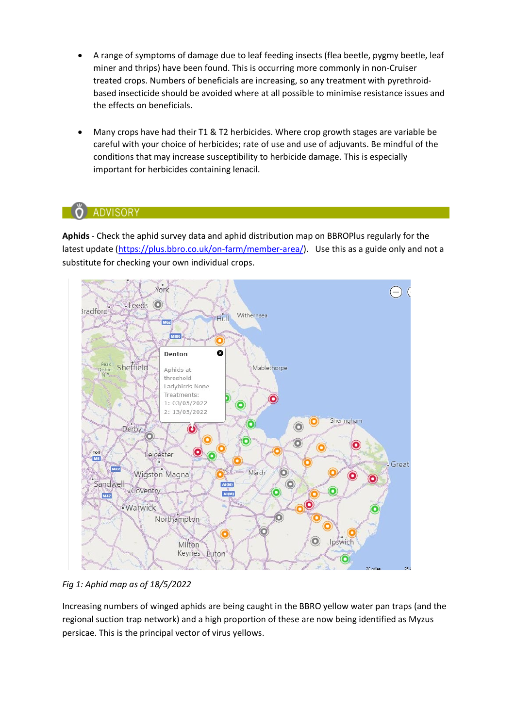- A range of symptoms of damage due to leaf feeding insects (flea beetle, pygmy beetle, leaf miner and thrips) have been found. This is occurring more commonly in non-Cruiser treated crops. Numbers of beneficials are increasing, so any treatment with pyrethroidbased insecticide should be avoided where at all possible to minimise resistance issues and the effects on beneficials.
- Many crops have had their T1 & T2 herbicides. Where crop growth stages are variable be careful with your choice of herbicides; rate of use and use of adjuvants. Be mindful of the conditions that may increase susceptibility to herbicide damage. This is especially important for herbicides containing lenacil.

### **ADVISORY**

**Aphids** - Check the aphid survey data and aphid distribution map on BBROPlus regularly for the latest update [\(https://plus.bbro.co.uk/on-farm/member-area/\)](https://plus.bbro.co.uk/on-farm/member-area/). Use this as a guide only and not a substitute for checking your own individual crops.



*Fig 1: Aphid map as of 18/5/2022*

Increasing numbers of winged aphids are being caught in the BBRO yellow water pan traps (and the regional suction trap network) and a high proportion of these are now being identified as Myzus persicae. This is the principal vector of virus yellows.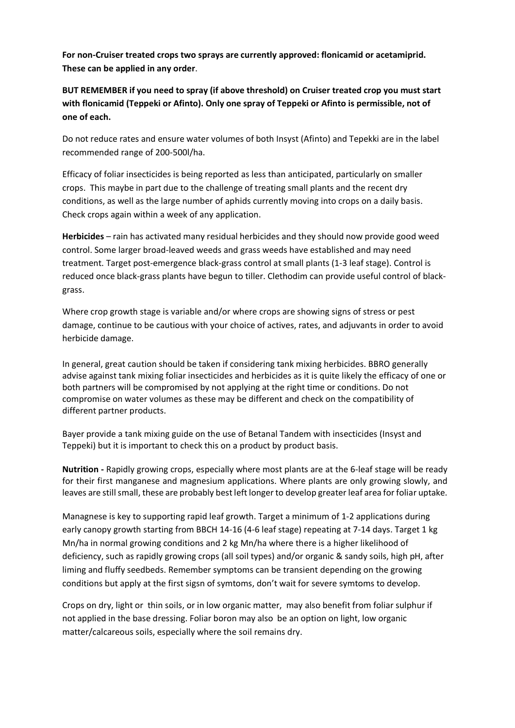**For non-Cruiser treated crops two sprays are currently approved: flonicamid or acetamiprid. These can be applied in any order**.

**BUT REMEMBER if you need to spray (if above threshold) on Cruiser treated crop you must start with flonicamid (Teppeki or Afinto). Only one spray of Teppeki or Afinto is permissible, not of one of each.**

Do not reduce rates and ensure water volumes of both Insyst (Afinto) and Tepekki are in the label recommended range of 200-500l/ha.

Efficacy of foliar insecticides is being reported as less than anticipated, particularly on smaller crops. This maybe in part due to the challenge of treating small plants and the recent dry conditions, as well as the large number of aphids currently moving into crops on a daily basis. Check crops again within a week of any application.

**Herbicides** – rain has activated many residual herbicides and they should now provide good weed control. Some larger broad-leaved weeds and grass weeds have established and may need treatment. Target post-emergence black-grass control at small plants (1-3 leaf stage). Control is reduced once black-grass plants have begun to tiller. Clethodim can provide useful control of blackgrass.

Where crop growth stage is variable and/or where crops are showing signs of stress or pest damage, continue to be cautious with your choice of actives, rates, and adjuvants in order to avoid herbicide damage.

In general, great caution should be taken if considering tank mixing herbicides. BBRO generally advise against tank mixing foliar insecticides and herbicides as it is quite likely the efficacy of one or both partners will be compromised by not applying at the right time or conditions. Do not compromise on water volumes as these may be different and check on the compatibility of different partner products.

Bayer provide a tank mixing guide on the use of Betanal Tandem with insecticides (Insyst and Teppeki) but it is important to check this on a product by product basis.

**Nutrition -** Rapidly growing crops, especially where most plants are at the 6-leaf stage will be ready for their first manganese and magnesium applications. Where plants are only growing slowly, and leaves are still small, these are probably best left longer to develop greater leaf area for foliar uptake.

Managnese is key to supporting rapid leaf growth. Target a minimum of 1-2 applications during early canopy growth starting from BBCH 14-16 (4-6 leaf stage) repeating at 7-14 days. Target 1 kg Mn/ha in normal growing conditions and 2 kg Mn/ha where there is a higher likelihood of deficiency, such as rapidly growing crops (all soil types) and/or organic & sandy soils, high pH, after liming and fluffy seedbeds. Remember symptoms can be transient depending on the growing conditions but apply at the first sigsn of symtoms, don't wait for severe symtoms to develop.

Crops on dry, light or thin soils, or in low organic matter, may also benefit from foliar sulphur if not applied in the base dressing. Foliar boron may also be an option on light, low organic matter/calcareous soils, especially where the soil remains dry.